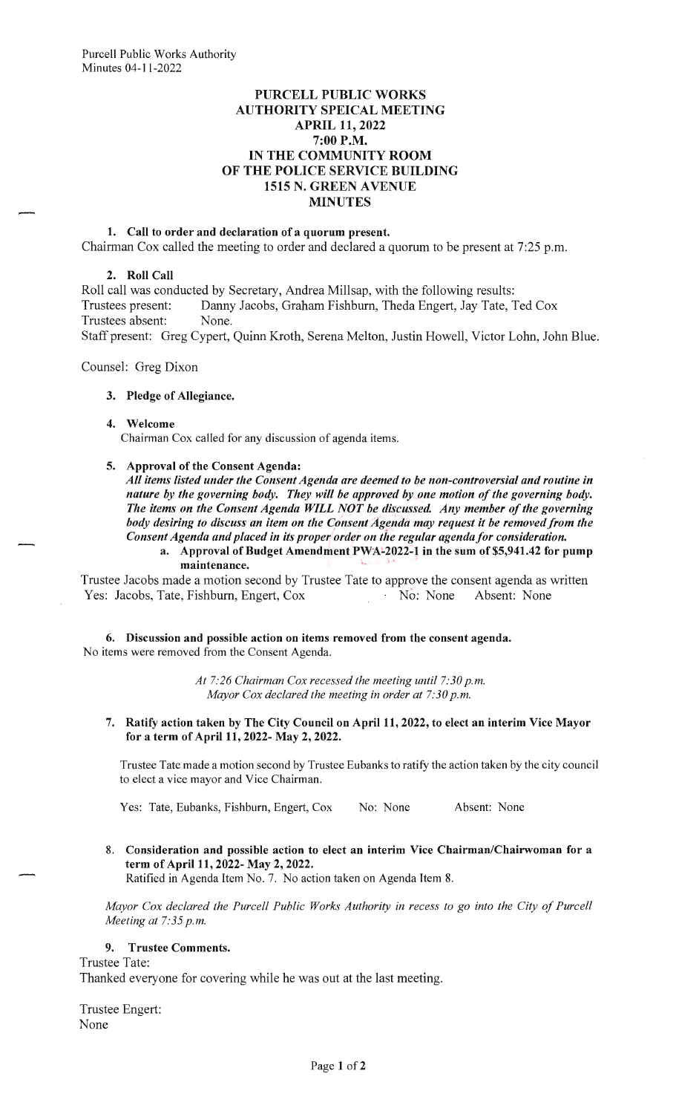# **PURCELL PUBLIC WORKS AUTHORITY SPEICAL MEETING APRIL 11, 2022**  7:00 P.M. **IN THE COMMUNITY ROOM OF THE POLICE SERVICE BUILDING 1515 N. GREEN A VENUE MINUTES**

## **1. Call to order and declaration of a quorum present.**

Chairman Cox called the meeting to order and declared a quorum to be present at 7:25 p.m.

## **2. Roll Call**

Roll call was conducted by Secretary, Andrea Millsap, with the following results: Trustees present: Danny Jacobs, Graham Fishburn, Theda Engert, Jay Tate, Ted Cox Trustees absent: None. Staff present: Greg Cypert, Quinn Kroth, Serena Melton, Justin Howell, Victor Lohn, John Blue.

Counsel: Greg Dixon

#### **3. Pledge of Allegiance.**

#### **4. Welcome**

Chairman Cox called for any discussion of agenda items.

#### **5. Approval of the Consent Agenda:**

*All items listed under the Consent Agenda are deemed to be non-controversial and routine in nature by the governing body. They will be approved by one motion of the governing body.*  The items on the Consent Agenda WILL NOT be discussed. Any member of the governing body desiring to discuss an item on the Consent Agenda may request it be removed from the *Consent Agenda and placed in its proper order on the regular agenda for consideration.* 

a. Approval of Budget Amendment PWA-2022-1 in the sum of \$5,941.42 for pump maintenance.

Trustee Jacobs made a motion second by Trustee Tate to approve the consent agenda as written Yes: Jacobs, Tate, Fishburn, Engert, Cox  $\overline{N}$  No: None Absent: None

**6. Discussion and possible action on items removed from the consent agenda.**  No items were removed from the Consent Agenda.

> *At 7:26 Chairman Cox recessed the meeting until 7:30 p.m. Mayor Cox declared the meeting in order at 7:30 p.m.*

7. **Ratify action taken by The City Council on April 11, 2022, to elect an interim Vice Mayor for a term of April 11, 2022- May 2, 2022.** 

Trustee Tate made a motion second by Trustee Eubanks to ratify the action taken by the city council to elect a vice mayor and Vice Chairman.

Yes: Tate, Eubanks, Fishburn, Engert, Cox No: None Absent: None

8. **Consideration and possible action to elect an interim Vice Chairman/Chairwoman for a term of April 11, 2022- May 2, 2022.** 

Ratified in Agenda Item No. 7. No action taken on Agenda Item 8.

*Mayor Cox declared the Purcell Public Works Authority in recess to go into the City of Purcell Meeting at 7:35 p.m.* 

# **9. Trustee Comments.**

Trustee Tate:

Thanked everyone for covering while he was out at the last meeting.

Trustee Engert: None